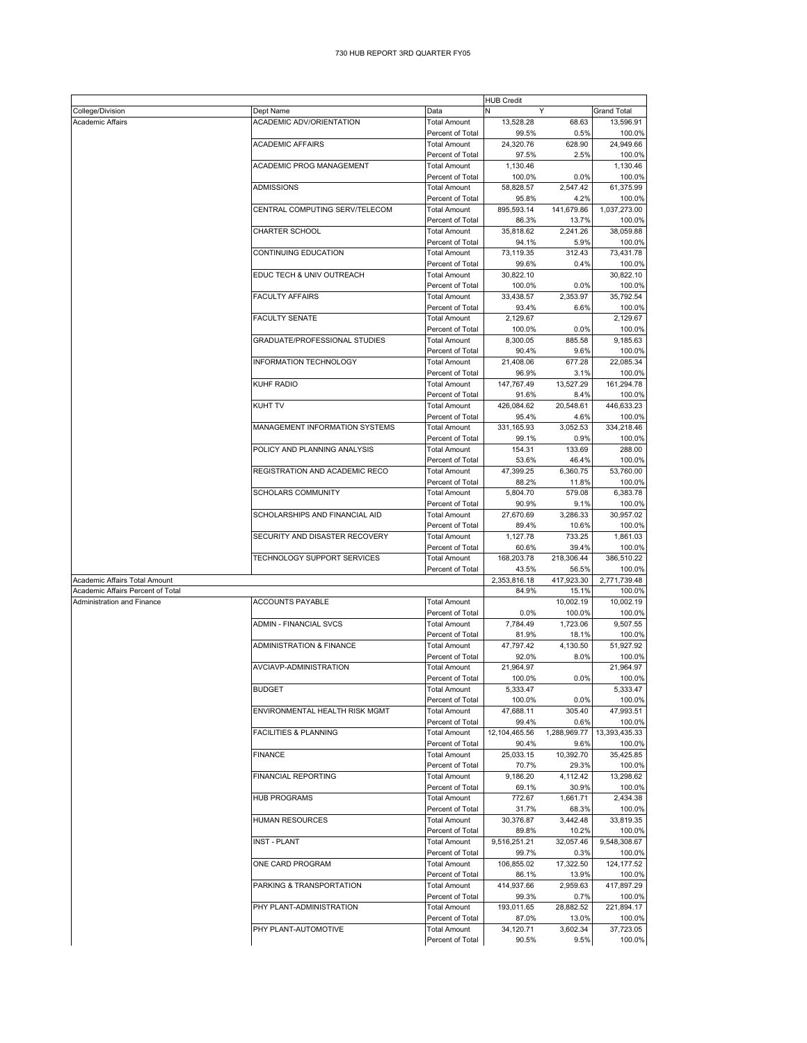|                                   | <b>HUB Credit</b>                   |                     |               |              |                    |  |
|-----------------------------------|-------------------------------------|---------------------|---------------|--------------|--------------------|--|
| College/Division                  | Dept Name                           | Data                | N             | Y            | <b>Grand Total</b> |  |
| <b>Academic Affairs</b>           | ACADEMIC ADV/ORIENTATION            | <b>Total Amount</b> | 13,528.28     | 68.63        | 13,596.91          |  |
|                                   |                                     | Percent of Total    | 99.5%         | 0.5%         | 100.0%             |  |
|                                   | <b>ACADEMIC AFFAIRS</b>             | <b>Total Amount</b> | 24,320.76     | 628.90       | 24,949.66          |  |
|                                   |                                     | Percent of Total    | 97.5%         | 2.5%         | 100.0%             |  |
|                                   | ACADEMIC PROG MANAGEMENT            | <b>Total Amount</b> | 1.130.46      |              | 1,130.46           |  |
|                                   |                                     | Percent of Total    | 100.0%        | 0.0%         | 100.0%             |  |
|                                   | <b>ADMISSIONS</b>                   | <b>Total Amount</b> | 58,828.57     | 2,547.42     | 61,375.99          |  |
|                                   |                                     | Percent of Total    | 95.8%         | 4.2%         | 100.0%             |  |
|                                   | CENTRAL COMPUTING SERV/TELECOM      | <b>Total Amount</b> | 895,593.14    | 141,679.86   | 1,037,273.00       |  |
|                                   |                                     | Percent of Total    | 86.3%         | 13.7%        | 100.0%             |  |
|                                   | CHARTER SCHOOL                      | <b>Total Amount</b> | 35,818.62     | 2,241.26     | 38,059.88          |  |
|                                   |                                     | Percent of Total    | 94.1%         | 5.9%         | 100.0%             |  |
|                                   | CONTINUING EDUCATION                | <b>Total Amount</b> | 73,119.35     | 312.43       | 73,431.78          |  |
|                                   |                                     | Percent of Total    | 99.6%         | 0.4%         | 100.0%             |  |
|                                   | EDUC TECH & UNIV OUTREACH           | <b>Total Amount</b> | 30,822.10     |              | 30,822.10          |  |
|                                   |                                     | Percent of Total    | 100.0%        | 0.0%         | 100.0%             |  |
|                                   | <b>FACULTY AFFAIRS</b>              | <b>Total Amount</b> | 33,438.57     | 2,353.97     | 35,792.54          |  |
|                                   |                                     | Percent of Total    | 93.4%         | 6.6%         | 100.0%             |  |
|                                   | <b>FACULTY SENATE</b>               | <b>Total Amount</b> |               |              |                    |  |
|                                   |                                     |                     | 2,129.67      |              | 2,129.67           |  |
|                                   |                                     | Percent of Total    | 100.0%        | 0.0%         | 100.0%             |  |
|                                   | GRADUATE/PROFESSIONAL STUDIES       | <b>Total Amount</b> | 8,300.05      | 885.58       | 9,185.63           |  |
|                                   |                                     | Percent of Total    | 90.4%         | 9.6%         | 100.0%             |  |
|                                   | <b>INFORMATION TECHNOLOGY</b>       | <b>Total Amount</b> | 21,408.06     | 677.28       | 22.085.34          |  |
|                                   |                                     | Percent of Total    | 96.9%         | 3.1%         | 100.0%             |  |
|                                   | <b>KUHF RADIO</b>                   | <b>Total Amount</b> | 147,767.49    | 13,527.29    | 161,294.78         |  |
|                                   |                                     | Percent of Total    | 91.6%         | 8.4%         | 100.0%             |  |
|                                   | <b>KUHT TV</b>                      | <b>Total Amount</b> | 426,084.62    | 20,548.61    | 446,633.23         |  |
|                                   |                                     | Percent of Total    | 95.4%         | 4.6%         | 100.0%             |  |
|                                   | MANAGEMENT INFORMATION SYSTEMS      | <b>Total Amount</b> | 331,165.93    | 3,052.53     | 334,218.46         |  |
|                                   |                                     | Percent of Total    | 99.1%         | 0.9%         | 100.0%             |  |
|                                   | POLICY AND PLANNING ANALYSIS        | <b>Total Amount</b> | 154.31        | 133.69       | 288.00             |  |
|                                   |                                     | Percent of Total    | 53.6%         | 46.4%        | 100.0%             |  |
|                                   | REGISTRATION AND ACADEMIC RECO      | <b>Total Amount</b> | 47,399.25     | 6,360.75     | 53,760.00          |  |
|                                   |                                     | Percent of Total    | 88.2%         | 11.8%        | 100.0%             |  |
|                                   | <b>SCHOLARS COMMUNITY</b>           | <b>Total Amount</b> | 5,804.70      | 579.08       | 6,383.78           |  |
|                                   |                                     | Percent of Total    | 90.9%         | 9.1%         | 100.0%             |  |
|                                   | SCHOLARSHIPS AND FINANCIAL AID      | <b>Total Amount</b> | 27,670.69     | 3,286.33     | 30,957.02          |  |
|                                   |                                     | Percent of Total    | 89.4%         | 10.6%        | 100.0%             |  |
|                                   | SECURITY AND DISASTER RECOVERY      | <b>Total Amount</b> | 1,127.78      | 733.25       | 1,861.03           |  |
|                                   |                                     | Percent of Total    | 60.6%         | 39.4%        | 100.0%             |  |
|                                   | TECHNOLOGY SUPPORT SERVICES         | <b>Total Amount</b> | 168,203.78    | 218,306.44   | 386,510.22         |  |
|                                   |                                     | Percent of Total    | 43.5%         | 56.5%        | 100.0%             |  |
| Academic Affairs Total Amount     |                                     |                     | 2,353,816.18  | 417,923.30   | 2,771,739.48       |  |
| Academic Affairs Percent of Total |                                     |                     | 84.9%         | 15.1%        | 100.0%             |  |
| Administration and Finance        | <b>ACCOUNTS PAYABLE</b>             | <b>Total Amount</b> |               | 10,002.19    | 10,002.19          |  |
|                                   |                                     | Percent of Total    | 0.0%          | 100.0%       | 100.0%             |  |
|                                   | <b>ADMIN - FINANCIAL SVCS</b>       | <b>Total Amount</b> | 7,784.49      | 1,723.06     | 9,507.55           |  |
|                                   |                                     | Percent of Total    | 81.9%         | 18.1%        | 100.0%             |  |
|                                   | <b>ADMINISTRATION &amp; FINANCE</b> | <b>Total Amount</b> | 47,797.42     | 4.130.50     | 51,927.92          |  |
|                                   |                                     | Percent of Total    | 92.0%         | 8.0%         | 100.0%             |  |
|                                   | AVCIAVP-ADMINISTRATION              | <b>Total Amount</b> | 21,964.97     |              | 21.964.97          |  |
|                                   |                                     | Percent of Total    | 100.0%        | 0.0%         | 100.0%             |  |
|                                   | <b>BUDGET</b>                       | <b>Total Amount</b> | 5,333.47      |              | 5,333.47           |  |
|                                   |                                     | Percent of Total    | 100.0%        | 0.0%         | 100.0%             |  |
|                                   | ENVIRONMENTAL HEALTH RISK MGMT      | <b>Total Amount</b> | 47,688.11     | 305.40       | 47,993.51          |  |
|                                   |                                     | Percent of Total    | 99.4%         | 0.6%         | 100.0%             |  |
|                                   | <b>FACILITIES &amp; PLANNING</b>    | <b>Total Amount</b> | 12,104,465.56 | 1,288,969.77 | 13,393,435.33      |  |
|                                   |                                     | Percent of Total    | 90.4%         | 9.6%         | 100.0%             |  |
|                                   | <b>FINANCE</b>                      | <b>Total Amount</b> | 25,033.15     | 10,392.70    | 35,425.85          |  |
|                                   |                                     | Percent of Total    | 70.7%         | 29.3%        | 100.0%             |  |
|                                   | FINANCIAL REPORTING                 | <b>Total Amount</b> | 9,186.20      | 4,112.42     | 13,298.62          |  |
|                                   |                                     | Percent of Total    | 69.1%         | 30.9%        | 100.0%             |  |
|                                   | <b>HUB PROGRAMS</b>                 | <b>Total Amount</b> | 772.67        | 1,661.71     | 2,434.38           |  |
|                                   |                                     | Percent of Total    | 31.7%         | 68.3%        | 100.0%             |  |
|                                   | <b>HUMAN RESOURCES</b>              | <b>Total Amount</b> | 30,376.87     | 3.442.48     | 33,819.35          |  |
|                                   |                                     | Percent of Total    | 89.8%         | 10.2%        | 100.0%             |  |
|                                   | <b>INST - PLANT</b>                 | <b>Total Amount</b> | 9,516,251.21  | 32,057.46    | 9,548,308.67       |  |
|                                   |                                     | Percent of Total    | 99.7%         | 0.3%         | 100.0%             |  |
|                                   | ONE CARD PROGRAM                    | <b>Total Amount</b> | 106,855.02    | 17,322.50    | 124, 177.52        |  |
|                                   |                                     | Percent of Total    | 86.1%         | 13.9%        | 100.0%             |  |
|                                   | PARKING & TRANSPORTATION            | <b>Total Amount</b> | 414,937.66    | 2,959.63     | 417,897.29         |  |
|                                   |                                     | Percent of Total    | 99.3%         | 0.7%         | 100.0%             |  |
|                                   | PHY PLANT-ADMINISTRATION            | <b>Total Amount</b> | 193,011.65    | 28,882.52    | 221,894.17         |  |
|                                   |                                     | Percent of Total    | 87.0%         | 13.0%        | 100.0%             |  |
|                                   | PHY PLANT-AUTOMOTIVE                | <b>Total Amount</b> | 34,120.71     | 3,602.34     | 37,723.05          |  |
|                                   |                                     | Percent of Total    | 90.5%         | 9.5%         | 100.0%             |  |
|                                   |                                     |                     |               |              |                    |  |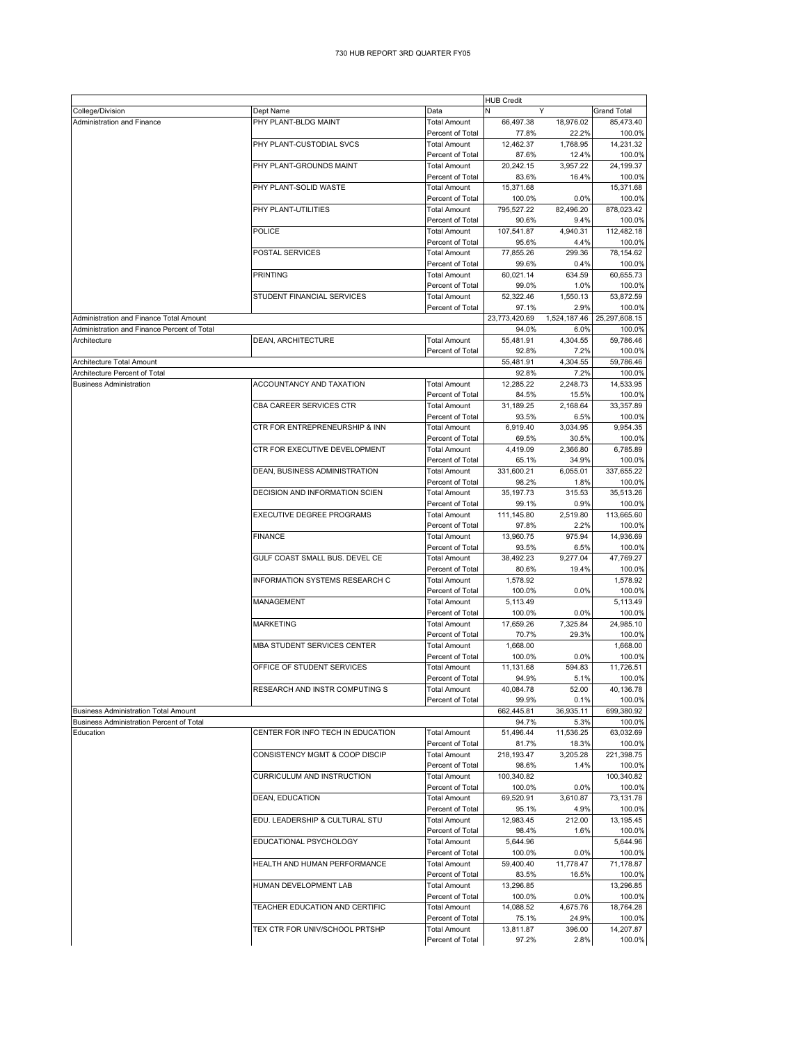|                                             |                                   |                                         | <b>HUB Credit</b>    |                   |                      |
|---------------------------------------------|-----------------------------------|-----------------------------------------|----------------------|-------------------|----------------------|
| College/Division                            | Dept Name                         | Data                                    |                      | Y                 | <b>Grand Total</b>   |
| Administration and Finance                  | PHY PLANT-BLDG MAINT              | <b>Total Amount</b>                     | 66,497.38            | 18,976.02         | 85,473.40            |
|                                             |                                   | Percent of Total                        | 77.8%                | 22.2%             | 100.0%               |
|                                             | PHY PLANT-CUSTODIAL SVCS          | <b>Total Amount</b>                     | 12,462.37            | 1,768.95          | 14,231.32            |
|                                             |                                   | Percent of Total                        | 87.6%                | 12.4%             | 100.0%               |
|                                             | PHY PLANT-GROUNDS MAINT           | <b>Total Amount</b>                     | 20,242.15            | 3,957.22          | 24,199.37            |
|                                             | PHY PLANT-SOLID WASTE             | Percent of Total                        | 83.6%                | 16.4%             | 100.0%               |
|                                             |                                   | <b>Total Amount</b>                     | 15,371.68            |                   | 15,371.68            |
|                                             | PHY PLANT-UTILITIES               | Percent of Total                        | 100.0%<br>795,527.22 | 0.0%<br>82,496.20 | 100.0%               |
|                                             |                                   | <b>Total Amount</b><br>Percent of Total | 90.6%                | 9.4%              | 878,023.42<br>100.0% |
|                                             | POLICE                            | <b>Total Amount</b>                     | 107,541.87           | 4,940.31          | 112,482.18           |
|                                             |                                   | Percent of Total                        | 95.6%                | 4.4%              | 100.0%               |
|                                             | POSTAL SERVICES                   | <b>Total Amount</b>                     | 77,855.26            | 299.36            | 78,154.62            |
|                                             |                                   | Percent of Total                        | 99.6%                | 0.4%              | 100.0%               |
|                                             | <b>PRINTING</b>                   | <b>Total Amount</b>                     | 60,021.14            | 634.59            | 60.655.73            |
|                                             |                                   | Percent of Total                        | 99.0%                | 1.0%              | 100.0%               |
|                                             | STUDENT FINANCIAL SERVICES        | <b>Total Amount</b>                     | 52,322.46            | 1,550.13          | 53,872.59            |
|                                             |                                   | Percent of Total                        | 97.1%                | 2.9%              | 100.0%               |
| Administration and Finance Total Amount     |                                   |                                         | 23,773,420.69        | 1,524,187.46      | 25,297,608.15        |
| Administration and Finance Percent of Total |                                   |                                         | 94.0%                | 6.0%              | 100.0%               |
| Architecture                                | DEAN, ARCHITECTURE                | <b>Total Amount</b>                     | 55,481.91            | 4,304.55          | 59,786.46            |
|                                             |                                   | Percent of Total                        | 92.8%                | 7.2%              | 100.0%               |
| Architecture Total Amount                   |                                   |                                         | 55,481.91            | 4.304.55          | 59.786.46            |
| Architecture Percent of Total               |                                   |                                         | 92.8%                | 7.2%              | 100.0%               |
| <b>Business Administration</b>              | ACCOUNTANCY AND TAXATION          | <b>Total Amount</b>                     | 12,285.22            | 2,248.73          | 14,533.95            |
|                                             |                                   | Percent of Total                        | 84.5%                | 15.5%             | 100.0%               |
|                                             | CBA CAREER SERVICES CTR           | <b>Total Amount</b>                     | 31,189.25            | 2,168.64          | 33,357.89            |
|                                             |                                   | Percent of Total                        | 93.5%                | 6.5%              | 100.0%               |
|                                             | CTR FOR ENTREPRENEURSHIP & INN    | <b>Total Amount</b>                     | 6.919.40             | 3,034.95          | 9,954.35             |
|                                             | CTR FOR EXECUTIVE DEVELOPMENT     | Percent of Total<br><b>Total Amount</b> | 69.5%<br>4,419.09    | 30.5%<br>2,366.80 | 100.0%<br>6.785.89   |
|                                             |                                   | Percent of Total                        | 65.1%                | 34.9%             | 100.0%               |
|                                             | DEAN, BUSINESS ADMINISTRATION     | <b>Total Amount</b>                     | 331,600.21           | 6.055.01          | 337,655.22           |
|                                             |                                   | Percent of Total                        | 98.2%                | 1.8%              | 100.0%               |
|                                             | DECISION AND INFORMATION SCIEN    | <b>Total Amount</b>                     | 35,197.73            | 315.53            | 35,513.26            |
|                                             |                                   | Percent of Total                        | 99.1%                | 0.9%              | 100.0%               |
|                                             | EXECUTIVE DEGREE PROGRAMS         | <b>Total Amount</b>                     | 111,145.80           | 2,519.80          | 113,665.60           |
|                                             |                                   | Percent of Total                        | 97.8%                | 2.2%              | 100.0%               |
|                                             | <b>FINANCE</b>                    | <b>Total Amount</b>                     | 13,960.75            | 975.94            | 14,936.69            |
|                                             |                                   | Percent of Total                        | 93.5%                | 6.5%              | 100.0%               |
|                                             | GULF COAST SMALL BUS. DEVEL CE    | <b>Total Amount</b>                     | 38,492.23            | 9,277.04          | 47,769.27            |
|                                             |                                   | Percent of Total                        | 80.6%                | 19.4%             | 100.0%               |
|                                             | INFORMATION SYSTEMS RESEARCH C    | <b>Total Amount</b>                     | 1,578.92             |                   | 1,578.92             |
|                                             |                                   | Percent of Total                        | 100.0%               | 0.0%              | 100.0%               |
|                                             | MANAGEMENT                        | <b>Total Amount</b>                     | 5,113.49             |                   | 5,113.49             |
|                                             |                                   | Percent of Total                        | 100.0%               | 0.0%              | 100.0%               |
|                                             | <b>MARKETING</b>                  | <b>Total Amount</b>                     | 17,659.26            | 7,325.84          | 24,985.10            |
|                                             |                                   | Percent of Total                        | 70.7%                | 29.3%             | 100.0%               |
|                                             | MBA STUDENT SERVICES CENTER       | <b>Total Amount</b>                     | 1,668.00             |                   | 1,668.00             |
|                                             |                                   | Percent of Total                        | 100.0%               | 0.0%              | 100.0%               |
|                                             | OFFICE OF STUDENT SERVICES        | <b>Total Amount</b>                     | 11,131.68            | 594.83            | 11,726.51            |
|                                             |                                   | Percent of Total                        | 94.9%                | 5.1%              | 100.0%               |
|                                             | RESEARCH AND INSTR COMPUTING S    | <b>Total Amount</b><br>Percent of Total | 40,084.78            | 52.00             | 40,136.78<br>100.0%  |
| <b>Business Administration Total Amount</b> |                                   |                                         | 99.9%<br>662,445.81  | 0.1%<br>36,935.11 | 699,380.92           |
| Business Administration Percent of Total    |                                   |                                         | 94.7%                | 5.3%              | 100.0%               |
| Education                                   | CENTER FOR INFO TECH IN EDUCATION | <b>Total Amount</b>                     | 51,496.44            | 11,536.25         | 63,032.69            |
|                                             |                                   | Percent of Total                        | 81.7%                | 18.3%             | 100.0%               |
|                                             | CONSISTENCY MGMT & COOP DISCIP    | <b>Total Amount</b>                     | 218,193.47           | 3,205.28          | 221,398.75           |
|                                             |                                   | Percent of Total                        | 98.6%                | 1.4%              | 100.0%               |
|                                             | CURRICULUM AND INSTRUCTION        | <b>Total Amount</b>                     | 100,340.82           |                   | 100,340.82           |
|                                             |                                   | Percent of Total                        | 100.0%               | 0.0%              | 100.0%               |
|                                             | DEAN, EDUCATION                   | <b>Total Amount</b>                     | 69,520.91            | 3,610.87          | 73,131.78            |
|                                             |                                   | Percent of Total                        | 95.1%                | 4.9%              | 100.0%               |
|                                             | EDU. LEADERSHIP & CULTURAL STU    | <b>Total Amount</b>                     | 12,983.45            | 212.00            | 13,195.45            |
|                                             |                                   | Percent of Total                        | 98.4%                | 1.6%              | 100.0%               |
|                                             | EDUCATIONAL PSYCHOLOGY            | <b>Total Amount</b>                     | 5,644.96             |                   | 5,644.96             |
|                                             |                                   | Percent of Total                        | 100.0%               | 0.0%              | 100.0%               |
|                                             | HEALTH AND HUMAN PERFORMANCE      | <b>Total Amount</b>                     | 59,400.40            | 11,778.47         | 71,178.87            |
|                                             |                                   | Percent of Total                        | 83.5%                | 16.5%             | 100.0%               |
|                                             | HUMAN DEVELOPMENT LAB             | <b>Total Amount</b>                     | 13,296.85            |                   | 13,296.85            |
|                                             |                                   | Percent of Total                        | 100.0%               | 0.0%              | 100.0%               |
|                                             | TEACHER EDUCATION AND CERTIFIC    | <b>Total Amount</b>                     | 14,088.52            | 4,675.76          | 18,764.28            |
|                                             | TEX CTR FOR UNIV/SCHOOL PRTSHP    | Percent of Total                        | 75.1%                | 24.9%<br>396.00   | 100.0%<br>14,207.87  |
|                                             |                                   | <b>Total Amount</b><br>Percent of Total | 13,811.87<br>97.2%   | 2.8%              | 100.0%               |
|                                             |                                   |                                         |                      |                   |                      |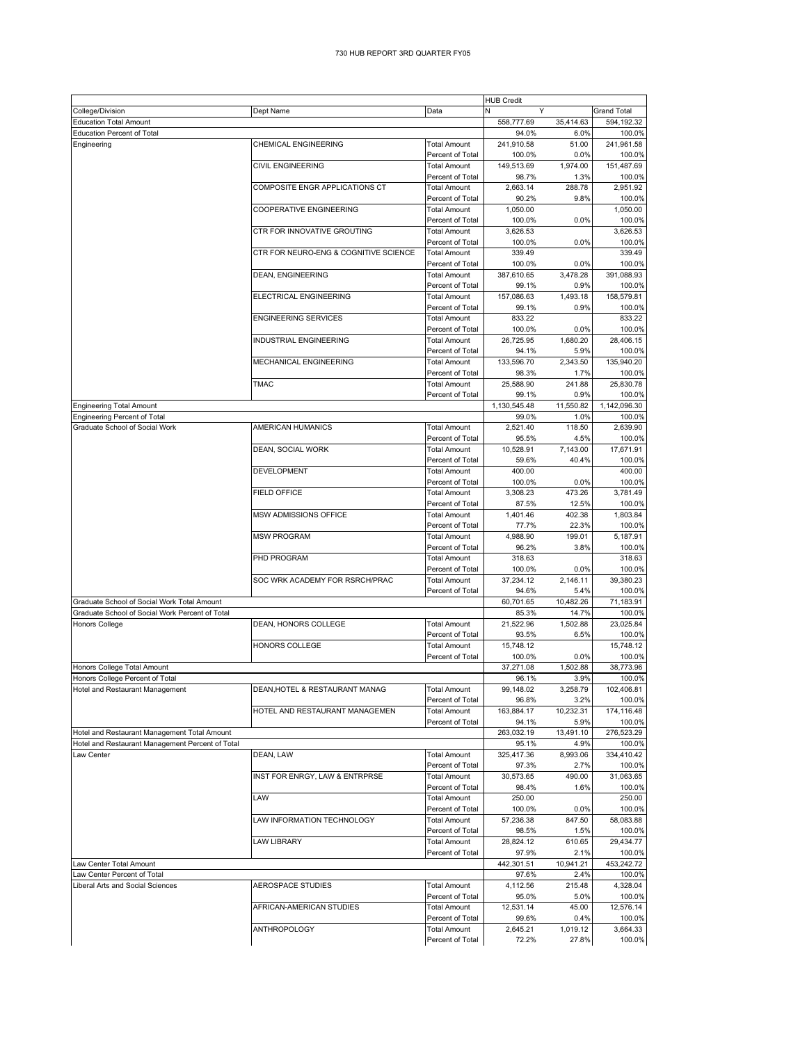## 730 HUB REPORT 3RD QUARTER FY05

|                                                  |                                       |                                         | <b>HUB Credit</b>     |                   |                        |
|--------------------------------------------------|---------------------------------------|-----------------------------------------|-----------------------|-------------------|------------------------|
| College/Division                                 | Dept Name                             | Data                                    | N<br>Y                |                   | <b>Grand Total</b>     |
| <b>Education Total Amount</b>                    |                                       |                                         | 558,777.69            | 35,414.63         | 594,192.32             |
| <b>Education Percent of Total</b><br>Engineering | <b>CHEMICAL ENGINEERING</b>           | <b>Total Amount</b>                     | 94.0%<br>241,910.58   | 6.0%<br>51.00     | 100.0%<br>241,961.58   |
|                                                  |                                       | Percent of Total                        | 100.0%                | 0.0%              | 100.0%                 |
|                                                  | <b>CIVIL ENGINEERING</b>              | <b>Total Amount</b>                     | 149,513.69            | 1,974.00          | 151,487.69             |
|                                                  |                                       | Percent of Total                        | 98.7%                 | 1.3%              | 100.0%                 |
|                                                  | COMPOSITE ENGR APPLICATIONS CT        | <b>Total Amount</b>                     | 2,663.14              | 288.78            | 2,951.92               |
|                                                  |                                       | Percent of Total                        | 90.2%                 | 9.8%              | 100.0%                 |
|                                                  | <b>COOPERATIVE ENGINEERING</b>        | <b>Total Amount</b><br>Percent of Total | 1,050.00<br>100.0%    | 0.0%              | 1,050.00<br>100.0%     |
|                                                  | CTR FOR INNOVATIVE GROUTING           | <b>Total Amount</b>                     | 3,626.53              |                   | 3,626.53               |
|                                                  |                                       | Percent of Total                        | 100.0%                | 0.0%              | 100.0%                 |
|                                                  | CTR FOR NEURO-ENG & COGNITIVE SCIENCE | <b>Total Amount</b>                     | 339.49                |                   | 339.49                 |
|                                                  |                                       | Percent of Total                        | 100.0%                | 0.0%              | 100.0%                 |
|                                                  | <b>DEAN, ENGINEERING</b>              | <b>Total Amount</b>                     | 387,610.65            | 3.478.28          | 391,088.93             |
|                                                  |                                       | Percent of Total<br><b>Total Amount</b> | 99.1%                 | 0.9%              | 100.0%                 |
|                                                  | ELECTRICAL ENGINEERING                | Percent of Total                        | 157,086.63<br>99.1%   | 1,493.18<br>0.9%  | 158,579.81<br>100.0%   |
|                                                  | <b>ENGINEERING SERVICES</b>           | <b>Total Amount</b>                     | 833.22                |                   | 833.22                 |
|                                                  |                                       | Percent of Total                        | 100.0%                | 0.0%              | 100.0%                 |
|                                                  | INDUSTRIAL ENGINEERING                | <b>Total Amount</b>                     | 26,725.95             | 1,680.20          | 28,406.15              |
|                                                  |                                       | Percent of Total                        | 94.1%                 | 5.9%              | 100.0%                 |
|                                                  | <b>MECHANICAL ENGINEERING</b>         | <b>Total Amount</b>                     | 133,596.70            | 2,343.50          | 135,940.20             |
|                                                  |                                       | Percent of Total                        | 98.3%                 | 1.7%              | 100.0%                 |
|                                                  | <b>TMAC</b>                           | <b>Total Amount</b><br>Percent of Total | 25,588.90             | 241.88            | 25,830.78              |
| <b>Engineering Total Amount</b>                  |                                       |                                         | 99.1%<br>1,130,545.48 | 0.9%<br>11,550.82 | 100.0%<br>1.142.096.30 |
| <b>Engineering Percent of Total</b>              |                                       |                                         | 99.0%                 | 1.0%              | 100.0%                 |
| Graduate School of Social Work                   | <b>AMERICAN HUMANICS</b>              | <b>Total Amount</b>                     | 2,521.40              | 118.50            | 2,639.90               |
|                                                  |                                       | Percent of Total                        | 95.5%                 | 4.5%              | 100.0%                 |
|                                                  | DEAN, SOCIAL WORK                     | <b>Total Amount</b>                     | 10,528.91             | 7,143.00          | 17,671.91              |
|                                                  |                                       | Percent of Total                        | 59.6%                 | 40.4%             | 100.0%                 |
|                                                  | <b>DEVELOPMENT</b>                    | <b>Total Amount</b>                     | 400.00                |                   | 400.00                 |
|                                                  |                                       | Percent of Total                        | 100.0%                | 0.0%              | 100.0%                 |
|                                                  | <b>FIELD OFFICE</b>                   | <b>Total Amount</b>                     | 3,308.23              | 473.26            | 3,781.49               |
|                                                  | MSW ADMISSIONS OFFICE                 | Percent of Total<br><b>Total Amount</b> | 87.5%<br>1,401.46     | 12.5%<br>402.38   | 100.0%<br>1,803.84     |
|                                                  |                                       | Percent of Total                        | 77.7%                 | 22.3%             | 100.0%                 |
|                                                  | <b>MSW PROGRAM</b>                    | <b>Total Amount</b>                     | 4,988.90              | 199.01            | 5,187.91               |
|                                                  |                                       | Percent of Total                        | 96.2%                 | 3.8%              | 100.0%                 |
|                                                  | PHD PROGRAM                           | <b>Total Amount</b>                     | 318.63                |                   | 318.63                 |
|                                                  |                                       | Percent of Total                        | 100.0%                | 0.0%              | 100.0%                 |
|                                                  | SOC WRK ACADEMY FOR RSRCH/PRAC        | <b>Total Amount</b>                     | 37,234.12             | 2,146.11          | 39,380.23              |
| Graduate School of Social Work Total Amount      |                                       | Percent of Total                        | 94.6%<br>60,701.65    | 5.4%<br>10,482.26 | 100.0%                 |
| Graduate School of Social Work Percent of Total  |                                       |                                         | 85.3%                 | 14.7%             | 71,183.91<br>100.0%    |
| <b>Honors College</b>                            | DEAN, HONORS COLLEGE                  | <b>Total Amount</b>                     | 21,522.96             | 1,502.88          | 23,025.84              |
|                                                  |                                       | Percent of Total                        | 93.5%                 | 6.5%              | 100.0%                 |
|                                                  | <b>HONORS COLLEGE</b>                 | <b>Total Amount</b>                     | 15,748.12             |                   | 15,748.12              |
|                                                  |                                       | Percent of Total                        | 100.0%                | 0.0%              | 100.0%                 |
| Honors College Total Amount                      |                                       |                                         | 37.271.08             | 1.502.88          | 38,773.96              |
| Honors College Percent of Total                  |                                       |                                         | 96.1%                 | 3.9%              | 100.0%                 |
| Hotel and Restaurant Management                  | DEAN, HOTEL & RESTAURANT MANAG        | Total Amount                            | 99,148.02             | 3,258.79          | 102,406.81             |
|                                                  | HOTEL AND RESTAURANT MANAGEMEN        | Percent of Total<br><b>Total Amount</b> | 96.8%<br>163,884.17   | 3.2%<br>10,232.31 | 100.0%<br>174,116.48   |
|                                                  |                                       | Percent of Total                        | 94.1%                 | 5.9%              | 100.0%                 |
| Hotel and Restaurant Management Total Amount     |                                       |                                         | 263,032.19            | 13,491.10         | 276,523.29             |
| Hotel and Restaurant Management Percent of Total |                                       |                                         | 95.1%                 | 4.9%              | 100.0%                 |
| Law Center                                       | DEAN, LAW                             | <b>Total Amount</b>                     | 325,417.36            | 8,993.06          | 334,410.42             |
|                                                  |                                       | Percent of Total                        | 97.3%                 | 2.7%              | 100.0%                 |
|                                                  | INST FOR ENRGY, LAW & ENTRPRSE        | <b>Total Amount</b>                     | 30,573.65             | 490.00            | 31,063.65              |
|                                                  |                                       | Percent of Total<br><b>Total Amount</b> | 98.4%                 | 1.6%              | 100.0%<br>250.00       |
|                                                  | LAW                                   | Percent of Total                        | 250.00<br>100.0%      | 0.0%              | 100.0%                 |
|                                                  | LAW INFORMATION TECHNOLOGY            | <b>Total Amount</b>                     | 57,236.38             | 847.50            | 58,083.88              |
|                                                  |                                       | Percent of Total                        | 98.5%                 | 1.5%              | 100.0%                 |
|                                                  | <b>LAW LIBRARY</b>                    | <b>Total Amount</b>                     | 28,824.12             | 610.65            | 29,434.77              |
|                                                  |                                       | Percent of Total                        | 97.9%                 | 2.1%              | 100.0%                 |
| Law Center Total Amount                          |                                       |                                         | 442,301.51            | 10,941.21         | 453,242.72             |
| aw Center Percent of Total                       |                                       |                                         | 97.6%                 | 2.4%              | 100.0%                 |
| Liberal Arts and Social Sciences                 | AEROSPACE STUDIES                     | <b>Total Amount</b>                     | 4,112.56              | 215.48            | 4,328.04               |
|                                                  | AFRICAN-AMERICAN STUDIES              | Percent of Total<br><b>Total Amount</b> | 95.0%<br>12,531.14    | 5.0%<br>45.00     | 100.0%<br>12,576.14    |
|                                                  |                                       | Percent of Total                        | 99.6%                 | 0.4%              | 100.0%                 |
|                                                  | ANTHROPOLOGY                          | <b>Total Amount</b>                     | 2,645.21              | 1,019.12          | 3,664.33               |
|                                                  |                                       | Percent of Total                        | 72.2%                 | 27.8%             | 100.0%                 |
|                                                  |                                       |                                         |                       |                   |                        |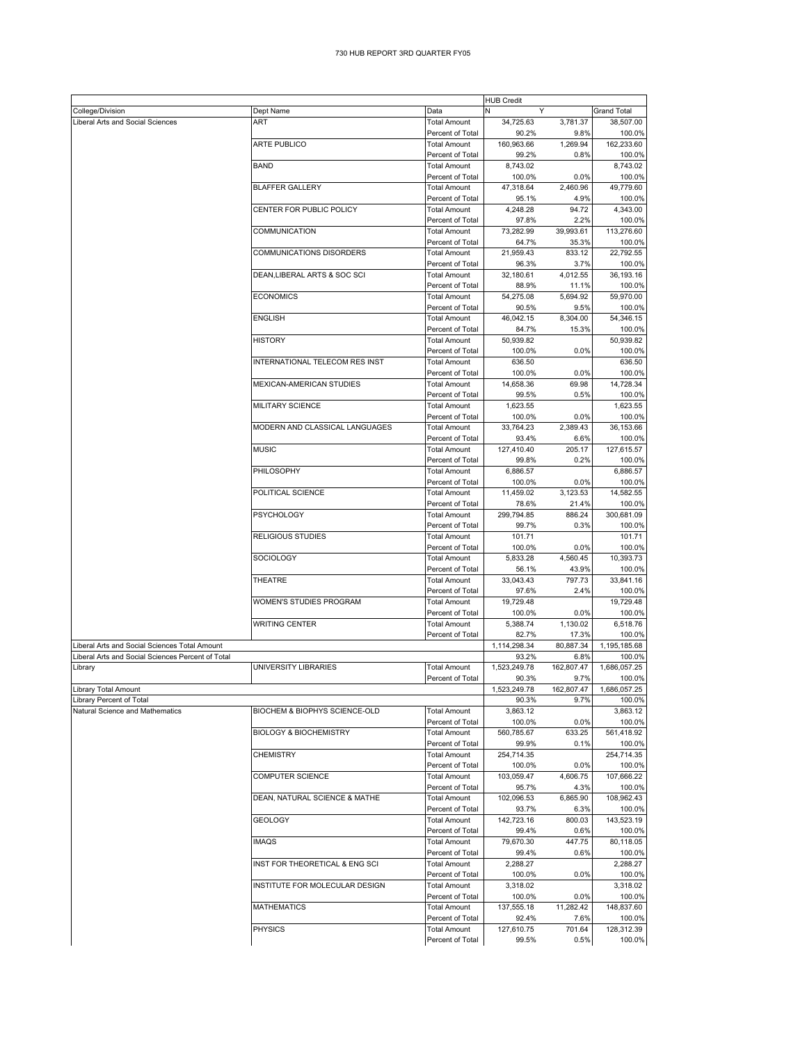|                                                   |                                   |                     | <b>HUB Credit</b> |            |                    |
|---------------------------------------------------|-----------------------------------|---------------------|-------------------|------------|--------------------|
| College/Division                                  | Dept Name                         | Data                | N<br>Y            |            | <b>Grand Total</b> |
| Liberal Arts and Social Sciences                  | <b>ART</b>                        | <b>Total Amount</b> | 34,725.63         | 3,781.37   | 38,507.00          |
|                                                   |                                   | Percent of Total    | 90.2%             | 9.8%       | 100.0%             |
|                                                   | <b>ARTE PUBLICO</b>               | <b>Total Amount</b> | 160,963.66        | 1,269.94   | 162,233.60         |
|                                                   |                                   | Percent of Total    | 99.2%             | 0.8%       | 100.0%             |
|                                                   | <b>BAND</b>                       | <b>Total Amount</b> | 8,743.02          |            | 8,743.02           |
|                                                   |                                   | Percent of Total    | 100.0%            | 0.0%       | 100.0%             |
|                                                   | <b>BLAFFER GALLERY</b>            | <b>Total Amount</b> | 47,318.64         | 2.460.96   | 49.779.60          |
|                                                   |                                   | Percent of Total    | 95.1%             | 4.9%       | 100.0%             |
|                                                   | CENTER FOR PUBLIC POLICY          | <b>Total Amount</b> | 4,248.28          | 94.72      | 4,343.00           |
|                                                   |                                   | Percent of Total    | 97.8%             | 2.2%       | 100.0%             |
|                                                   | COMMUNICATION                     | <b>Total Amount</b> | 73,282.99         | 39,993.61  | 113,276.60         |
|                                                   |                                   | Percent of Total    | 64.7%             | 35.3%      | 100.0%             |
|                                                   | COMMUNICATIONS DISORDERS          | <b>Total Amount</b> | 21,959.43         | 833.12     | 22,792.55          |
|                                                   |                                   | Percent of Total    | 96.3%             | 3.7%       | 100.0%             |
|                                                   | DEAN, LIBERAL ARTS & SOC SCI      | <b>Total Amount</b> | 32,180.61         | 4,012.55   | 36,193.16          |
|                                                   |                                   | Percent of Total    | 88.9%             | 11.1%      | 100.0%             |
|                                                   | <b>ECONOMICS</b>                  | <b>Total Amount</b> | 54,275.08         | 5,694.92   | 59,970.00          |
|                                                   |                                   | Percent of Total    | 90.5%             | 9.5%       | 100.0%             |
|                                                   | <b>ENGLISH</b>                    | <b>Total Amount</b> | 46,042.15         | 8,304.00   | 54,346.15          |
|                                                   |                                   | Percent of Total    | 84.7%             | 15.3%      | 100.0%             |
|                                                   | HISTORY                           | <b>Total Amount</b> | 50,939.82         |            | 50,939.82          |
|                                                   |                                   | Percent of Total    | 100.0%            | 0.0%       | 100.0%             |
|                                                   | INTERNATIONAL TELECOM RES INST    | <b>Total Amount</b> | 636.50            |            | 636.50             |
|                                                   |                                   | Percent of Total    | 100.0%            | 0.0%       | 100.0%             |
|                                                   | MEXICAN-AMERICAN STUDIES          | <b>Total Amount</b> | 14.658.36         | 69.98      | 14.728.34          |
|                                                   |                                   | Percent of Total    | 99.5%             | 0.5%       | 100.0%             |
|                                                   | MILITARY SCIENCE                  | <b>Total Amount</b> | 1,623.55          |            | 1.623.55           |
|                                                   |                                   | Percent of Total    | 100.0%            | 0.0%       | 100.0%             |
|                                                   | MODERN AND CLASSICAL LANGUAGES    | <b>Total Amount</b> | 33.764.23         | 2,389.43   | 36,153.66          |
|                                                   |                                   | Percent of Total    | 93.4%             | 6.6%       | 100.0%             |
|                                                   | <b>MUSIC</b>                      | <b>Total Amount</b> | 127,410.40        | 205.17     | 127,615.57         |
|                                                   |                                   | Percent of Total    | 99.8%             | 0.2%       | 100.0%             |
|                                                   | PHILOSOPHY                        | <b>Total Amount</b> | 6,886.57          |            | 6,886.57           |
|                                                   |                                   | Percent of Total    | 100.0%            | 0.0%       | 100.0%             |
|                                                   | POLITICAL SCIENCE                 | <b>Total Amount</b> | 11,459.02         | 3,123.53   | 14,582.55          |
|                                                   |                                   | Percent of Total    | 78.6%             | 21.4%      | 100.0%             |
|                                                   | PSYCHOLOGY                        | <b>Total Amount</b> | 299,794.85        | 886.24     | 300,681.09         |
|                                                   |                                   | Percent of Total    | 99.7%             | 0.3%       | 100.0%             |
|                                                   | RELIGIOUS STUDIES                 | <b>Total Amount</b> | 101.71            |            | 101.71             |
|                                                   |                                   | Percent of Total    | 100.0%            | 0.0%       | 100.0%             |
|                                                   | SOCIOLOGY                         | <b>Total Amount</b> | 5,833.28          | 4,560.45   | 10,393.73          |
|                                                   |                                   | Percent of Total    | 56.1%             | 43.9%      | 100.0%             |
|                                                   | THEATRE                           | <b>Total Amount</b> | 33,043.43         | 797.73     | 33,841.16          |
|                                                   |                                   | Percent of Total    | 97.6%             | 2.4%       | 100.0%             |
|                                                   | WOMEN'S STUDIES PROGRAM           | <b>Total Amount</b> | 19,729.48         |            | 19,729.48          |
|                                                   |                                   | Percent of Total    | 100.0%            | 0.0%       | 100.0%             |
|                                                   | <b>WRITING CENTER</b>             | <b>Total Amount</b> | 5,388.74          | 1,130.02   | 6,518.76           |
|                                                   |                                   | Percent of Total    | 82.7%             | 17.3%      | 100.0%             |
| Liberal Arts and Social Sciences Total Amount     |                                   |                     | 1,114,298.34      | 80,887.34  | 1,195,185.68       |
| Liberal Arts and Social Sciences Percent of Total |                                   |                     | 93.2%             | 6.8%       | 100.0%             |
| Library                                           | UNIVERSITY LIBRARIES              | <b>Total Amount</b> | 1,523,249.78      | 162,807.47 | 1,686,057.25       |
|                                                   |                                   | Percent of Total    | 90.3%             | 9.7%       | 100.0%             |
| Library Total Amount                              |                                   |                     | 1,523,249.78      | 162,807.47 | 1,686,057.25       |
| Library Percent of Total                          |                                   |                     | 90.3%             | 9.7%       | 100.0%             |
| Natural Science and Mathematics                   | BIOCHEM & BIOPHYS SCIENCE-OLD     | <b>Total Amount</b> | 3,863.12          |            | 3,863.12           |
|                                                   |                                   | Percent of Total    | 100.0%            | 0.0%       | 100.0%             |
|                                                   | <b>BIOLOGY &amp; BIOCHEMISTRY</b> | <b>Total Amount</b> | 560,785.67        | 633.25     | 561,418.92         |
|                                                   |                                   | Percent of Total    | 99.9%             | 0.1%       | 100.0%             |
|                                                   | CHEMISTRY                         | Total Amount        | 254,714.35        |            | 254,714.35         |
|                                                   |                                   | Percent of Total    | 100.0%            | 0.0%       | 100.0%             |
|                                                   | COMPUTER SCIENCE                  | <b>Total Amount</b> | 103,059.47        | 4,606.75   | 107,666.22         |
|                                                   |                                   | Percent of Total    | 95.7%             | 4.3%       | 100.0%             |
|                                                   | DEAN, NATURAL SCIENCE & MATHE     | Total Amount        | 102,096.53        | 6,865.90   | 108,962.43         |
|                                                   |                                   | Percent of Total    | 93.7%             | 6.3%       | 100.0%             |
|                                                   | <b>GEOLOGY</b>                    | <b>Total Amount</b> | 142,723.16        | 800.03     | 143,523.19         |
|                                                   |                                   | Percent of Total    | 99.4%             | 0.6%       | 100.0%             |
|                                                   | <b>IMAQS</b>                      | <b>Total Amount</b> | 79,670.30         | 447.75     | 80,118.05          |
|                                                   |                                   | Percent of Total    | 99.4%             | 0.6%       | 100.0%             |
|                                                   | INST FOR THEORETICAL & ENG SCI    | <b>Total Amount</b> | 2,288.27          |            | 2,288.27           |
|                                                   |                                   | Percent of Total    | 100.0%            | 0.0%       | 100.0%             |
|                                                   | INSTITUTE FOR MOLECULAR DESIGN    | <b>Total Amount</b> | 3,318.02          |            | 3,318.02           |
|                                                   |                                   | Percent of Total    | 100.0%            | 0.0%       | 100.0%             |
|                                                   | <b>MATHEMATICS</b>                | Total Amount        | 137,555.18        | 11,282.42  | 148,837.60         |
|                                                   |                                   | Percent of Total    | 92.4%             | 7.6%       | 100.0%             |
|                                                   | <b>PHYSICS</b>                    | Total Amount        | 127,610.75        | 701.64     | 128,312.39         |
|                                                   |                                   | Percent of Total    | 99.5%             | 0.5%       | 100.0%             |
|                                                   |                                   |                     |                   |            |                    |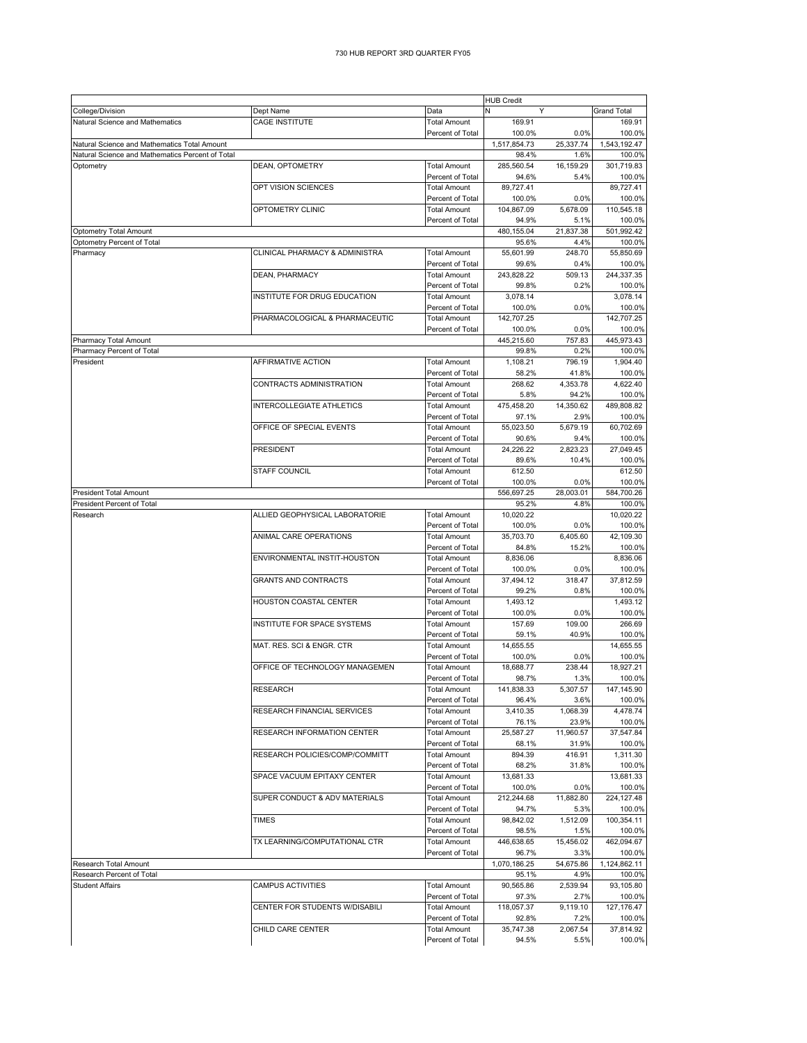|                                                  |                                           |                     | <b>HUB Credit</b> |           |                     |
|--------------------------------------------------|-------------------------------------------|---------------------|-------------------|-----------|---------------------|
| College/Division                                 | Dept Name                                 | Data                | Y                 |           | <b>Grand Total</b>  |
| Natural Science and Mathematics                  | <b>CAGE INSTITUTE</b>                     | <b>Total Amount</b> | 169.91            |           | 169.91              |
|                                                  |                                           | Percent of Total    | 100.0%            | 0.0%      | 100.0%              |
| Natural Science and Mathematics Total Amount     |                                           |                     | 1,517,854.73      | 25,337.74 | 1,543,192.47        |
| Natural Science and Mathematics Percent of Total |                                           |                     | 98.4%             | 1.6%      | 100.0%              |
| Optometry                                        | DEAN, OPTOMETRY                           | <b>Total Amount</b> | 285,560.54        | 16,159.29 | 301,719.83          |
|                                                  |                                           | Percent of Total    | 94.6%             | 5.4%      |                     |
|                                                  | OPT VISION SCIENCES                       | <b>Total Amount</b> | 89,727.41         |           | 100.0%<br>89.727.41 |
|                                                  |                                           |                     |                   |           |                     |
|                                                  |                                           | Percent of Total    | 100.0%            | 0.0%      | 100.0%              |
|                                                  | OPTOMETRY CLINIC                          | <b>Total Amount</b> | 104,867.09        | 5,678.09  | 110,545.18          |
|                                                  |                                           | Percent of Total    | 94.9%             | 5.1%      | 100.0%              |
| <b>Optometry Total Amount</b>                    |                                           |                     | 480,155.04        | 21,837.38 | 501,992.42          |
| Optometry Percent of Total                       |                                           |                     | 95.6%             | 4.4%      | 100.0%              |
| Pharmacy                                         | <b>CLINICAL PHARMACY &amp; ADMINISTRA</b> | <b>Total Amount</b> | 55,601.99         | 248.70    | 55,850.69           |
|                                                  |                                           | Percent of Total    | 99.6%             | 0.4%      | 100.0%              |
|                                                  | DEAN, PHARMACY                            | <b>Total Amount</b> | 243,828.22        | 509.13    | 244,337.35          |
|                                                  |                                           | Percent of Total    | 99.8%             | 0.2%      | 100.0%              |
|                                                  | INSTITUTE FOR DRUG EDUCATION              | <b>Total Amount</b> | 3,078.14          |           | 3,078.14            |
|                                                  |                                           | Percent of Total    | 100.0%            | 0.0%      | 100.0%              |
|                                                  | PHARMACOLOGICAL & PHARMACEUTIC            | <b>Total Amount</b> | 142,707.25        |           | 142,707.25          |
|                                                  |                                           | Percent of Total    | 100.0%            | 0.0%      | 100.0%              |
|                                                  |                                           |                     |                   |           |                     |
| Pharmacy Total Amount                            |                                           |                     | 445,215.60        | 757.83    | 445,973.43          |
| Pharmacy Percent of Total                        |                                           |                     | 99.8%             | 0.2%      | 100.0%              |
| President                                        | AFFIRMATIVE ACTION                        | <b>Total Amount</b> | 1,108.21          | 796.19    | 1,904.40            |
|                                                  |                                           | Percent of Total    | 58.2%             | 41.8%     | 100.0%              |
|                                                  | CONTRACTS ADMINISTRATION                  | <b>Total Amount</b> | 268.62            | 4,353.78  | 4,622.40            |
|                                                  |                                           | Percent of Total    | 5.8%              | 94.2%     | 100.0%              |
|                                                  | <b>INTERCOLLEGIATE ATHLETICS</b>          | <b>Total Amount</b> | 475,458.20        | 14,350.62 | 489,808.82          |
|                                                  |                                           | Percent of Total    | 97.1%             | 2.9%      | 100.0%              |
|                                                  | OFFICE OF SPECIAL EVENTS                  | <b>Total Amount</b> | 55,023.50         | 5,679.19  | 60,702.69           |
|                                                  |                                           | Percent of Total    | 90.6%             | 9.4%      | 100.0%              |
|                                                  | <b>PRESIDENT</b>                          | <b>Total Amount</b> | 24,226.22         | 2.823.23  | 27,049.45           |
|                                                  |                                           | Percent of Total    | 89.6%             | 10.4%     | 100.0%              |
|                                                  | <b>STAFF COUNCIL</b>                      | <b>Total Amount</b> | 612.50            |           | 612.50              |
|                                                  |                                           | Percent of Total    | 100.0%            | 0.0%      | 100.0%              |
|                                                  |                                           |                     |                   |           |                     |
| <b>President Total Amount</b>                    |                                           |                     | 556,697.25        | 28,003.01 | 584,700.26          |
| President Percent of Total                       |                                           |                     | 95.2%             | 4.8%      | 100.0%              |
| Research                                         | ALLIED GEOPHYSICAL LABORATORIE            | <b>Total Amount</b> | 10,020.22         |           | 10,020.22           |
|                                                  |                                           | Percent of Total    | 100.0%            | 0.0%      | 100.0%              |
|                                                  | ANIMAL CARE OPERATIONS                    | <b>Total Amount</b> | 35,703.70         | 6,405.60  | 42,109.30           |
|                                                  |                                           | Percent of Total    | 84.8%             | 15.2%     | 100.0%              |
|                                                  | ENVIRONMENTAL INSTIT-HOUSTON              | <b>Total Amount</b> | 8,836.06          |           | 8,836.06            |
|                                                  |                                           | Percent of Total    | 100.0%            | 0.0%      | 100.0%              |
|                                                  | <b>GRANTS AND CONTRACTS</b>               | <b>Total Amount</b> | 37,494.12         | 318.47    | 37,812.59           |
|                                                  |                                           | Percent of Total    | 99.2%             | 0.8%      | 100.0%              |
|                                                  | <b>HOUSTON COASTAL CENTER</b>             | <b>Total Amount</b> | 1,493.12          |           | 1,493.12            |
|                                                  |                                           | Percent of Total    | 100.0%            | 0.0%      | 100.0%              |
|                                                  | INSTITUTE FOR SPACE SYSTEMS               | <b>Total Amount</b> | 157.69            | 109.00    | 266.69              |
|                                                  |                                           | Percent of Total    | 59.1%             | 40.9%     | 100.0%              |
|                                                  | MAT. RES. SCI & ENGR. CTR                 | <b>Total Amount</b> |                   |           |                     |
|                                                  |                                           |                     | 14,655.55         |           | 14,655.55           |
|                                                  |                                           | Percent of Total    | 100.0%            | 0.0%      | 100.0%              |
|                                                  | OFFICE OF TECHNOLOGY MANAGEMEN            | <b>Total Amount</b> | 18,688.77         | 238.44    | 18,927.21           |
|                                                  |                                           | Percent of Total    | 98.7%             | 1.3%      | 100.0%              |
|                                                  | <b>RESEARCH</b>                           | l otal Amount       | 141,838.33        | 5,307.57  | 147,145.90          |
|                                                  |                                           | Percent of Total    | 96.4%             | 3.6%      | 100.0%              |
|                                                  | RESEARCH FINANCIAL SERVICES               | <b>Total Amount</b> | 3,410.35          | 1,068.39  | 4,478.74            |
|                                                  |                                           | Percent of Total    | 76.1%             | 23.9%     | 100.0%              |
|                                                  | <b>RESEARCH INFORMATION CENTER</b>        | <b>Total Amount</b> | 25,587.27         | 11,960.57 | 37,547.84           |
|                                                  |                                           | Percent of Total    | 68.1%             | 31.9%     | 100.0%              |
|                                                  | RESEARCH POLICIES/COMP/COMMITT            | <b>Total Amount</b> | 894.39            | 416.91    | 1,311.30            |
|                                                  |                                           | Percent of Total    | 68.2%             | 31.8%     | 100.0%              |
|                                                  | SPACE VACUUM EPITAXY CENTER               | Total Amount        | 13,681.33         |           | 13,681.33           |
|                                                  |                                           | Percent of Total    | 100.0%            | 0.0%      | 100.0%              |
|                                                  | SUPER CONDUCT & ADV MATERIALS             | <b>Total Amount</b> | 212,244.68        | 11,882.80 | 224,127.48          |
|                                                  |                                           | Percent of Total    | 94.7%             | 5.3%      | 100.0%              |
|                                                  | <b>TIMES</b>                              | Total Amount        | 98,842.02         | 1,512.09  | 100,354.11          |
|                                                  |                                           | Percent of Total    | 98.5%             | 1.5%      | 100.0%              |
|                                                  | TX LEARNING/COMPUTATIONAL CTR             | <b>Total Amount</b> | 446,638.65        | 15,456.02 | 462,094.67          |
|                                                  |                                           |                     |                   |           |                     |
|                                                  |                                           | Percent of Total    | 96.7%             | 3.3%      | 100.0%              |
| Research Total Amount                            |                                           |                     | 1,070,186.25      | 54,675.86 | 1,124,862.11        |
| Research Percent of Total                        |                                           |                     | 95.1%             | 4.9%      | 100.0%              |
| <b>Student Affairs</b>                           | <b>CAMPUS ACTIVITIES</b>                  | <b>Total Amount</b> | 90,565.86         | 2,539.94  | 93,105.80           |
|                                                  |                                           | Percent of Total    | 97.3%             | 2.7%      | 100.0%              |
|                                                  | CENTER FOR STUDENTS W/DISABILI            | <b>Total Amount</b> | 118,057.37        | 9,119.10  | 127, 176.47         |
|                                                  |                                           | Percent of Total    | 92.8%             | 7.2%      | 100.0%              |
|                                                  | CHILD CARE CENTER                         | <b>Total Amount</b> | 35,747.38         | 2,067.54  | 37,814.92           |
|                                                  |                                           | Percent of Total    | 94.5%             | 5.5%      | 100.0%              |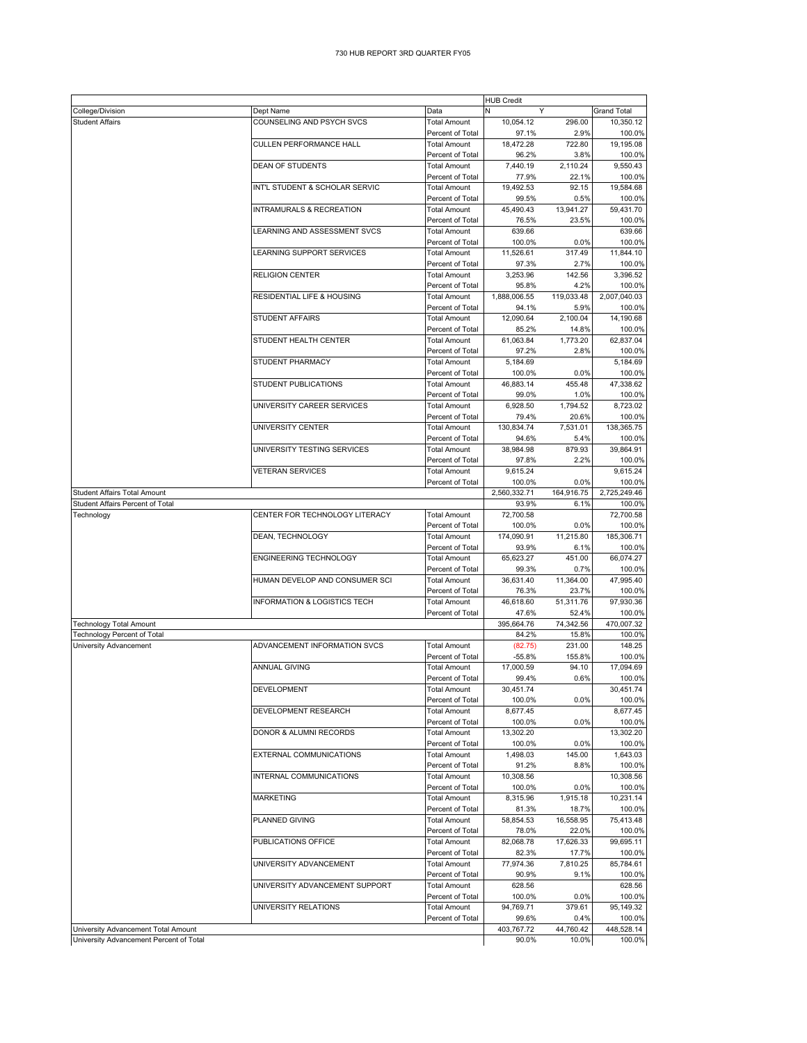## 730 HUB REPORT 3RD QUARTER FY05

|                                                                                |                                         |                                         | <b>HUB Credit</b>     |                    |                                |
|--------------------------------------------------------------------------------|-----------------------------------------|-----------------------------------------|-----------------------|--------------------|--------------------------------|
| College/Division                                                               | Dept Name                               | Data                                    | N<br>Y                |                    | <b>Grand Total</b>             |
| <b>Student Affairs</b>                                                         | COUNSELING AND PSYCH SVCS               | <b>Total Amount</b>                     | 10,054.12             | 296.00             | 10,350.12                      |
|                                                                                |                                         | Percent of Total                        | 97.1%                 | 2.9%               | 100.0%                         |
|                                                                                | <b>CULLEN PERFORMANCE HALL</b>          | <b>Total Amount</b>                     | 18,472.28             | 722.80             | 19,195.08                      |
|                                                                                |                                         | Percent of Total                        | 96.2%                 | 3.8%               | 100.0%                         |
|                                                                                | <b>DEAN OF STUDENTS</b>                 | <b>Total Amount</b>                     | 7,440.19              | 2,110.24           | 9,550.43                       |
|                                                                                |                                         | Percent of Total                        | 77.9%                 | 22.1%              | 100.0%                         |
|                                                                                | INT'L STUDENT & SCHOLAR SERVIC          | <b>Total Amount</b>                     | 19,492.53             | 92.15              | 19,584.68                      |
|                                                                                |                                         | Percent of Total                        | 99.5%                 | 0.5%               | 100.0%                         |
|                                                                                | INTRAMURALS & RECREATION                | <b>Total Amount</b>                     | 45,490.43             | 13,941.27          | 59,431.70                      |
|                                                                                |                                         | Percent of Total                        | 76.5%                 | 23.5%              | 100.0%                         |
|                                                                                | LEARNING AND ASSESSMENT SVCS            | <b>Total Amount</b>                     | 639.66                |                    | 639.66                         |
|                                                                                |                                         | Percent of Total                        | 100.0%                | 0.0%               | 100.0%                         |
|                                                                                | LEARNING SUPPORT SERVICES               | <b>Total Amount</b>                     | 11,526.61             | 317.49             | 11,844.10                      |
|                                                                                |                                         | Percent of Total                        | 97.3%                 | 2.7%               | 100.0%                         |
|                                                                                | <b>RELIGION CENTER</b>                  | <b>Total Amount</b>                     | 3,253.96              | 142.56             | 3,396.52                       |
|                                                                                |                                         | Percent of Total                        | 95.8%                 | 4.2%               | 100.0%                         |
|                                                                                | RESIDENTIAL LIFE & HOUSING              | <b>Total Amount</b>                     | 1,888,006.55          | 119,033.48         | 2,007,040.03                   |
|                                                                                |                                         | Percent of Total                        | 94.1%                 | 5.9%               | 100.0%                         |
|                                                                                | <b>STUDENT AFFAIRS</b>                  | <b>Total Amount</b>                     | 12,090.64             | 2,100.04           | 14,190.68                      |
|                                                                                |                                         | Percent of Total                        | 85.2%                 | 14.8%              | 100.0%                         |
|                                                                                | STUDENT HEALTH CENTER                   | <b>Total Amount</b>                     | 61,063.84             | 1,773.20           | 62,837.04                      |
|                                                                                |                                         | Percent of Total                        | 97.2%                 | 2.8%               | 100.0%                         |
|                                                                                | STUDENT PHARMACY                        | <b>Total Amount</b>                     | 5,184.69              |                    | 5,184.69                       |
|                                                                                |                                         | Percent of Total                        | 100.0%                | 0.0%               | 100.0%                         |
|                                                                                | STUDENT PUBLICATIONS                    | <b>Total Amount</b>                     | 46,883.14             | 455.48             | 47,338.62                      |
|                                                                                |                                         | Percent of Total                        | 99.0%                 | 1.0%               | 100.0%                         |
|                                                                                | UNIVERSITY CAREER SERVICES              | <b>Total Amount</b>                     | 6,928.50              | 1,794.52           | 8,723.02                       |
|                                                                                |                                         | Percent of Total                        | 79.4%                 | 20.6%              | 100.0%                         |
|                                                                                | UNIVERSITY CENTER                       | <b>Total Amount</b>                     | 130,834.74            | 7.531.01           | 138,365.75                     |
|                                                                                |                                         | Percent of Total                        | 94.6%                 | 5.4%               | 100.0%                         |
|                                                                                | UNIVERSITY TESTING SERVICES             | <b>Total Amount</b>                     | 38,984.98             | 879.93             | 39,864.91                      |
|                                                                                |                                         | Percent of Total                        | 97.8%                 | 2.2%               | 100.0%                         |
|                                                                                | <b>VETERAN SERVICES</b>                 | <b>Total Amount</b>                     | 9,615.24              |                    | 9,615.24                       |
|                                                                                |                                         | Percent of Total                        | 100.0%                | 0.0%               | 100.0%                         |
| Student Affairs Total Amount                                                   |                                         |                                         | 2,560,332.71          | 164,916.75         | 2,725,249.46                   |
| Student Affairs Percent of Total                                               |                                         |                                         | 93.9%                 | 6.1%               | 100.0%                         |
| Technology                                                                     | CENTER FOR TECHNOLOGY LITERACY          | <b>Total Amount</b>                     | 72,700.58             |                    | 72,700.58                      |
|                                                                                |                                         | Percent of Total                        | 100.0%                | 0.0%               | 100.0%                         |
|                                                                                | DEAN, TECHNOLOGY                        | <b>Total Amount</b>                     | 174,090.91            | 11,215.80          | 185,306.71                     |
|                                                                                |                                         | Percent of Total                        | 93.9%                 | 6.1%               | 100.0%                         |
|                                                                                | ENGINEERING TECHNOLOGY                  | <b>Total Amount</b>                     | 65,623.27             | 451.00             | 66,074.27                      |
|                                                                                |                                         | Percent of Total                        | 99.3%                 | 0.7%               | 100.0%                         |
|                                                                                | HUMAN DEVELOP AND CONSUMER SCI          | <b>Total Amount</b>                     | 36,631.40             | 11,364.00          | 47,995.40                      |
|                                                                                |                                         | Percent of Total                        | 76.3%                 | 23.7%              | 100.0%                         |
|                                                                                | <b>INFORMATION &amp; LOGISTICS TECH</b> | <b>Total Amount</b>                     | 46,618.60             | 51,311.76          | 97,930.36                      |
|                                                                                |                                         | Percent of Total                        | 47.6%                 | 52.4%              | 100.0%                         |
| <b>Technology Total Amount</b>                                                 |                                         |                                         | 395,664.76            | 74,342.56          | 470.007.32                     |
| <b>Technology Percent of Total</b>                                             |                                         |                                         | 84.2%                 |                    |                                |
| University Advancement                                                         | ADVANCEMENT INFORMATION SVCS            |                                         |                       | 15.8%              | 100.0%                         |
|                                                                                |                                         | <b>Total Amount</b>                     | (82.75)               | 231.00             | 148.25                         |
|                                                                                |                                         | Percent of Total                        |                       | 155.8%             | 100.0%                         |
|                                                                                | <b>ANNUAL GIVING</b>                    | <b>Total Amount</b>                     | $-55.8%$<br>17,000.59 | 94.10              | 17,094.69                      |
|                                                                                |                                         | Percent of Total                        | 99.4%                 | 0.6%               | 100.0%                         |
|                                                                                | DEVELOPMENT                             | <b>Total Amount</b>                     | 30,451.74             |                    | 30,451.74                      |
|                                                                                |                                         | Percent of Total                        | 100.0%                | 0.0%               | 100.0%                         |
|                                                                                | DEVELOPMENT RESEARCH                    | <b>Total Amount</b>                     | 8,677.45              |                    | 8,677.45                       |
|                                                                                |                                         | Percent of Total                        | 100.0%                | 0.0%               | 100.0%                         |
|                                                                                | DONOR & ALUMNI RECORDS                  | <b>Total Amount</b>                     | 13,302.20             |                    | 13,302.20                      |
|                                                                                |                                         | Percent of Total                        | 100.0%                | 0.0%               |                                |
|                                                                                |                                         | <b>Total Amount</b>                     | 1,498.03              | 145.00             | 100.0%<br>1,643.03             |
|                                                                                | EXTERNAL COMMUNICATIONS                 | Percent of Total                        | 91.2%                 | 8.8%               |                                |
|                                                                                | INTERNAL COMMUNICATIONS                 | <b>Total Amount</b>                     | 10,308.56             |                    | 100.0%<br>10,308.56            |
|                                                                                |                                         | Percent of Total                        | 100.0%                | 0.0%               |                                |
|                                                                                |                                         |                                         |                       |                    | 100.0%                         |
|                                                                                | MARKETING                               | <b>Total Amount</b><br>Percent of Total | 8,315.96<br>81.3%     | 1,915.18<br>18.7%  | 10,231.14<br>100.0%            |
|                                                                                | PLANNED GIVING                          | <b>Total Amount</b>                     | 58.854.53             | 16.558.95          | 75,413.48                      |
|                                                                                |                                         | Percent of Total                        | 78.0%                 | 22.0%              | 100.0%                         |
|                                                                                | PUBLICATIONS OFFICE                     | <b>Total Amount</b>                     | 82,068.78             | 17,626.33          | 99,695.11                      |
|                                                                                |                                         | Percent of Total                        | 82.3%                 | 17.7%              | 100.0%                         |
|                                                                                | UNIVERSITY ADVANCEMENT                  | <b>Total Amount</b>                     | 77,974.36             | 7,810.25           | 85,784.61                      |
|                                                                                |                                         | Percent of Total                        | 90.9%                 | 9.1%               |                                |
|                                                                                | UNIVERSITY ADVANCEMENT SUPPORT          | <b>Total Amount</b>                     | 628.56                |                    | 100.0%<br>628.56               |
|                                                                                |                                         | Percent of Total                        | 100.0%                | 0.0%               |                                |
|                                                                                | UNIVERSITY RELATIONS                    | <b>Total Amount</b>                     | 94,769.71             | 379.61             | 95,149.32                      |
|                                                                                |                                         |                                         |                       |                    |                                |
|                                                                                |                                         | Percent of Total                        | 99.6%                 | 0.4%               | 100.0%<br>100.0%<br>448,528.14 |
| University Advancement Total Amount<br>University Advancement Percent of Total |                                         |                                         | 403,767.72<br>90.0%   | 44,760.42<br>10.0% | 100.0%                         |